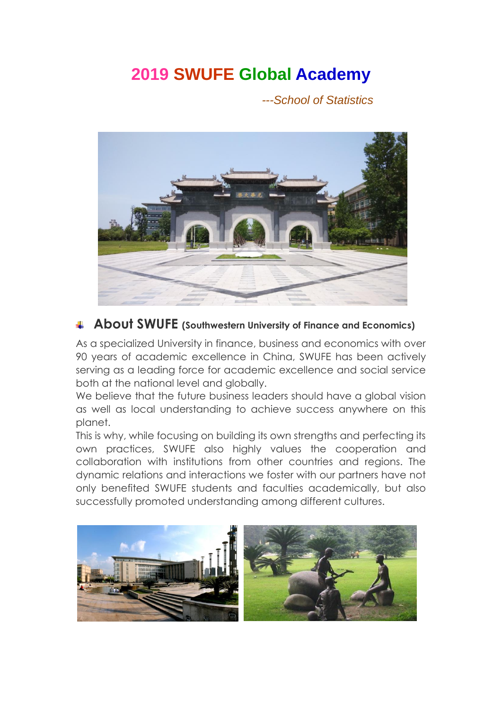# **2019 SWUFE Global Academy**

*---School of Statistics*



### **About SWUFE (Southwestern University of Finance and Economics)**

As a specialized University in finance, business and economics with over 90 years of academic excellence in China, SWUFE has been actively serving as a leading force for academic excellence and social service both at the national level and globally.

We believe that the future business leaders should have a global vision as well as local understanding to achieve success anywhere on this planet.

This is why, while focusing on building its own strengths and perfecting its own practices, SWUFE also highly values the cooperation and collaboration with institutions from other countries and regions. The dynamic relations and interactions we foster with our partners have not only benefited SWUFE students and faculties academically, but also successfully promoted understanding among different cultures.

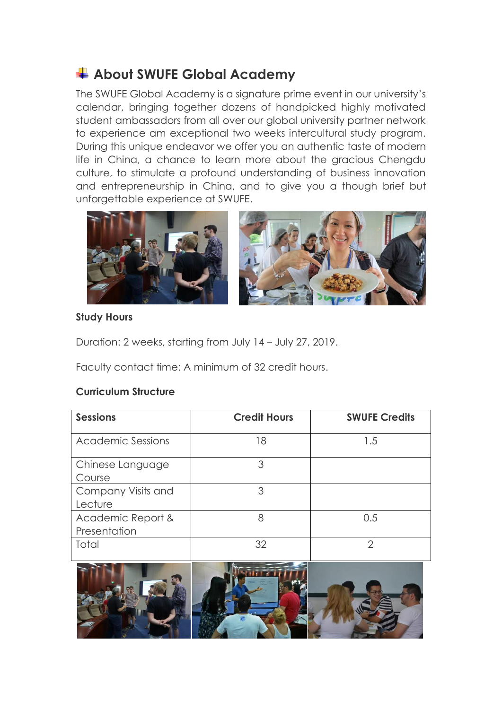## **About SWUFE Global Academy**

The SWUFE Global Academy is a signature prime event in our university's calendar, bringing together dozens of handpicked highly motivated student ambassadors from all over our global university partner network to experience am exceptional two weeks intercultural study program. During this unique endeavor we offer you an authentic taste of modern life in China, a chance to learn more about the gracious Chengdu culture, to stimulate a profound understanding of business innovation and entrepreneurship in China, and to give you a though brief but unforgettable experience at SWUFE.



#### **Study Hours**

Duration: 2 weeks, starting from July 14 – July 27, 2019.

Faculty contact time: A minimum of 32 credit hours.

#### **Curriculum Structure**

| <b>Sessions</b>                   | <b>Credit Hours</b> | <b>SWUFE Credits</b> |
|-----------------------------------|---------------------|----------------------|
| <b>Academic Sessions</b>          | 18                  | 1.5                  |
| Chinese Language<br>Course        | 3                   |                      |
| Company Visits and<br>Lecture     | 3                   |                      |
| Academic Report &<br>Presentation | 8                   | 0.5                  |
| Total                             | 32                  | っ                    |

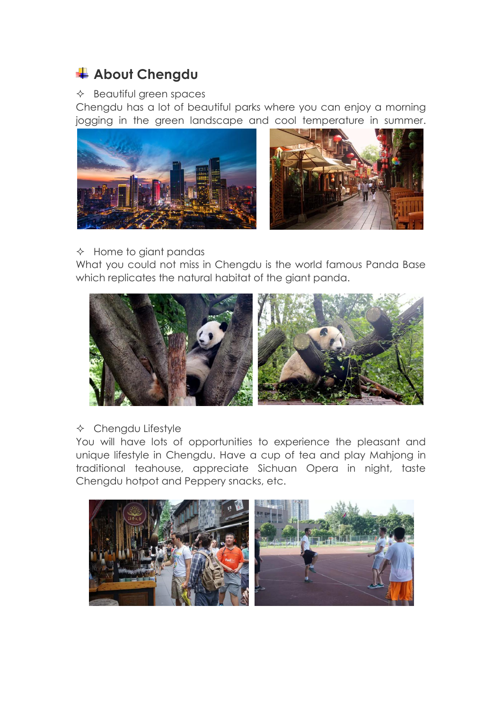## **About Chengdu**

#### $\triangle$  Beautiful green spaces

Chengdu has a lot of beautiful parks where you can enjoy a morning jogging in the green landscape and cool temperature in summer.



#### $\Diamond$  Home to giant pandas

What you could not miss in Chengdu is the world famous Panda Base which replicates the natural habitat of the giant panda.



 $\triangle$  Chengdu Lifestyle

You will have lots of opportunities to experience the pleasant and unique lifestyle in Chengdu. Have a cup of tea and play Mahjong in traditional teahouse, appreciate Sichuan Opera in night, taste Chengdu hotpot and Peppery snacks, etc.

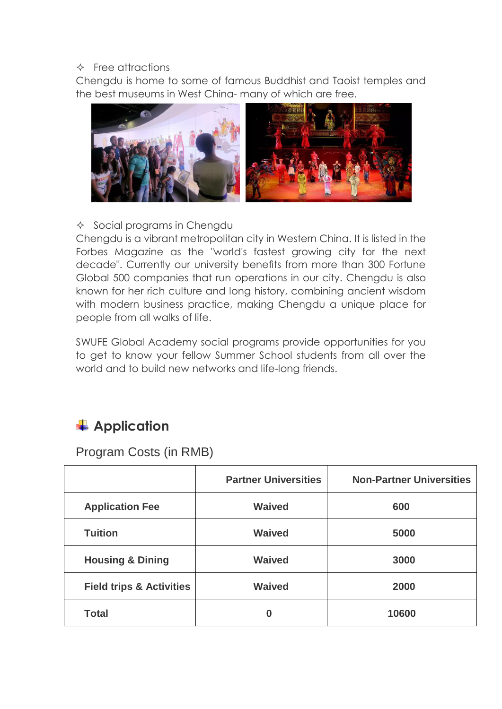#### $\Diamond$  Free attractions

Chengdu is home to some of famous Buddhist and Taoist temples and the best museums in West China- many of which are free.



 $\Diamond$  Social programs in Chengdu

Chengdu is a vibrant metropolitan city in Western China. It is listed in the Forbes Magazine as the "world's fastest growing city for the next decade". Currently our university benefits from more than 300 Fortune Global 500 companies that run operations in our city. Chengdu is also known for her rich culture and long history, combining ancient wisdom with modern business practice, making Chengdu a unique place for people from all walks of life.

SWUFE Global Academy social programs provide opportunities for you to get to know your fellow Summer School students from all over the world and to build new networks and life-long friends.

## **Application**

Program Costs (in RMB)

|                                     | <b>Partner Universities</b> | <b>Non-Partner Universities</b> |
|-------------------------------------|-----------------------------|---------------------------------|
| <b>Application Fee</b>              | <b>Waived</b>               | 600                             |
| <b>Tuition</b>                      | <b>Waived</b>               | 5000                            |
| <b>Housing &amp; Dining</b>         | <b>Waived</b>               | 3000                            |
| <b>Field trips &amp; Activities</b> | <b>Waived</b>               | 2000                            |
| <b>Total</b>                        | 0                           | 10600                           |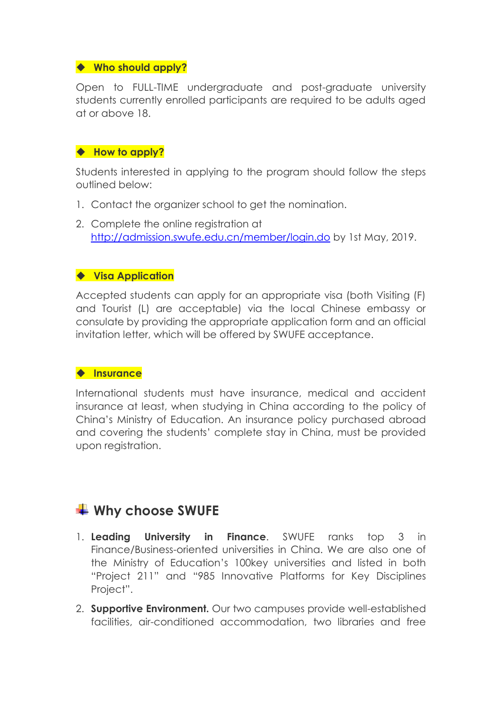#### ◆ Who should apply?

Open to FULL-TIME undergraduate and post-graduate university students currently enrolled participants are required to be adults aged at or above 18.

#### ◆ How to apply?

Students interested in applying to the program should follow the steps outlined below:

- 1. Contact the organizer school to get the nomination.
- 2. Complete the online registration at <http://admission.swufe.edu.cn/member/login.do> by 1st May, 2019.

#### ◆ Visa Application

Accepted students can apply for an appropriate visa (both Visiting (F) and Tourist (L) are acceptable) via the local Chinese embassy or consulate by providing the appropriate application form and an official invitation letter, which will be offered by SWUFE acceptance.

#### **Insurance**

International students must have insurance, medical and accident insurance at least, when studying in China according to the policy of China's Ministry of Education. An insurance policy purchased abroad and covering the students' complete stay in China, must be provided upon registration.

### **Why choose SWUFE**

- 1. **Leading University in Finance**. SWUFE ranks top 3 in Finance/Business-oriented universities in China. We are also one of the Ministry of Education's 100key universities and listed in both "Project 211" and "985 Innovative Platforms for Key Disciplines Project".
- 2. **Supportive Environment.** Our two campuses provide well-established facilities, air-conditioned accommodation, two libraries and free